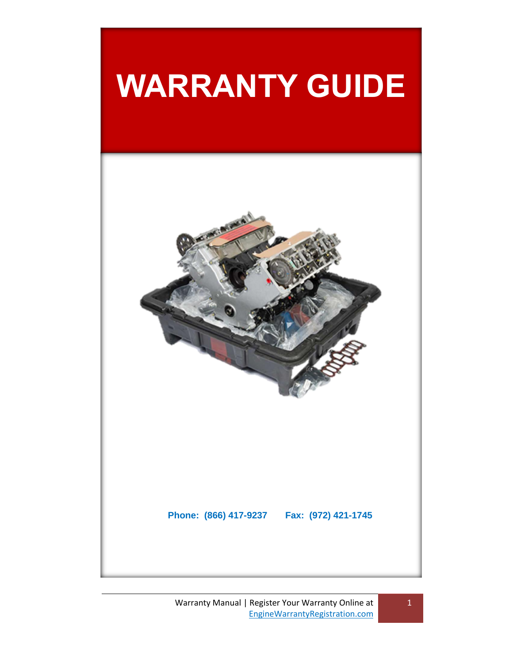# **WARRANTY GUIDE**

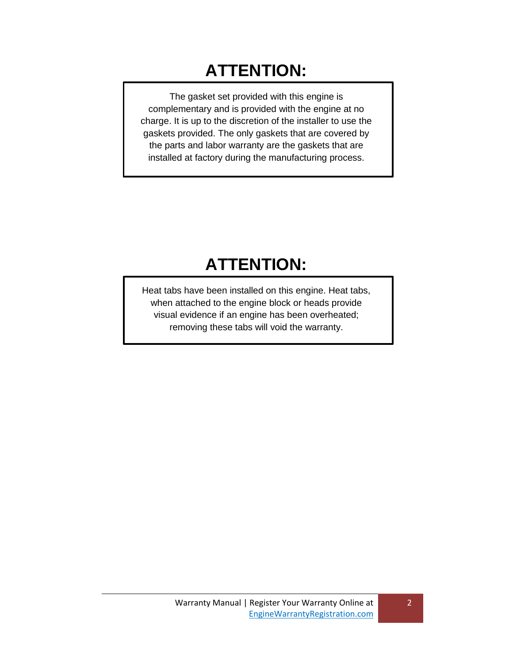# **ATTENTION:**

The gasket set provided with this engine is complementary and is provided with the engine at no charge. It is up to the discretion of the installer to use the gaskets provided. The only gaskets that are covered by the parts and labor warranty are the gaskets that are installed at factory during the manufacturing process.

# **ATTENTION:**

Heat tabs have been installed on this engine. Heat tabs, when attached to the engine block or heads provide visual evidence if an engine has been overheated; removing these tabs will void the warranty.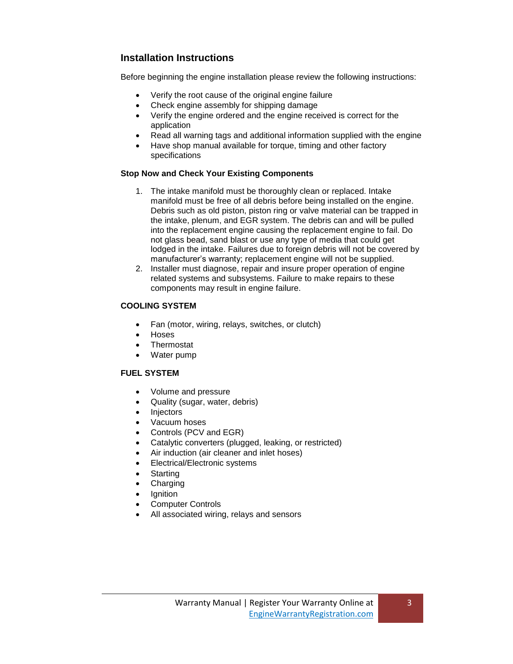# **Installation Instructions**

Before beginning the engine installation please review the following instructions:

- Verify the root cause of the original engine failure
- Check engine assembly for shipping damage
- Verify the engine ordered and the engine received is correct for the application
- Read all warning tags and additional information supplied with the engine
- Have shop manual available for torque, timing and other factory specifications

# **Stop Now and Check Your Existing Components**

- 1. The intake manifold must be thoroughly clean or replaced. Intake manifold must be free of all debris before being installed on the engine. Debris such as old piston, piston ring or valve material can be trapped in the intake, plenum, and EGR system. The debris can and will be pulled into the replacement engine causing the replacement engine to fail. Do not glass bead, sand blast or use any type of media that could get lodged in the intake. Failures due to foreign debris will not be covered by manufacturer's warranty; replacement engine will not be supplied.
- 2. Installer must diagnose, repair and insure proper operation of engine related systems and subsystems. Failure to make repairs to these components may result in engine failure.

# **COOLING SYSTEM**

- Fan (motor, wiring, relays, switches, or clutch)
- Hoses
- **Thermostat**
- Water pump

# **FUEL SYSTEM**

- Volume and pressure
- Quality (sugar, water, debris)
- Injectors
- Vacuum hoses
- Controls (PCV and EGR)
- Catalytic converters (plugged, leaking, or restricted)
- Air induction (air cleaner and inlet hoses)
- Electrical/Electronic systems
- **Starting**
- Charging
- Ignition
- Computer Controls
- All associated wiring, relays and sensors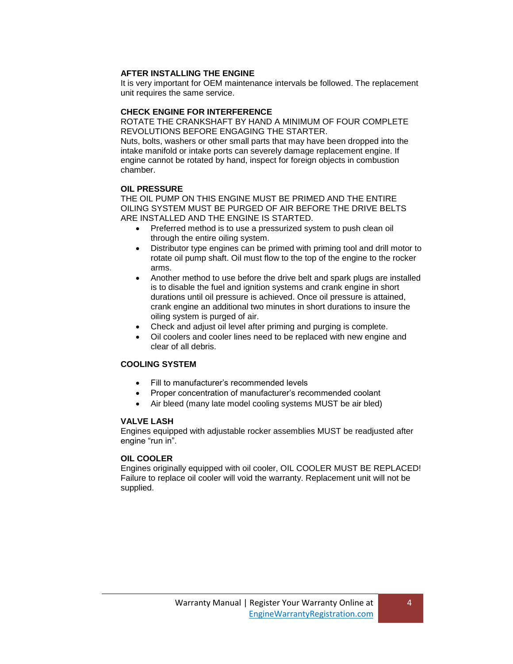### **AFTER INSTALLING THE ENGINE**

It is very important for OEM maintenance intervals be followed. The replacement unit requires the same service.

#### **CHECK ENGINE FOR INTERFERENCE**

ROTATE THE CRANKSHAFT BY HAND A MINIMUM OF FOUR COMPLETE REVOLUTIONS BEFORE ENGAGING THE STARTER.

Nuts, bolts, washers or other small parts that may have been dropped into the intake manifold or intake ports can severely damage replacement engine. If engine cannot be rotated by hand, inspect for foreign objects in combustion chamber.

#### **OIL PRESSURE**

THE OIL PUMP ON THIS ENGINE MUST BE PRIMED AND THE ENTIRE OILING SYSTEM MUST BE PURGED OF AIR BEFORE THE DRIVE BELTS ARE INSTALLED AND THE ENGINE IS STARTED.

- Preferred method is to use a pressurized system to push clean oil through the entire oiling system.
- Distributor type engines can be primed with priming tool and drill motor to rotate oil pump shaft. Oil must flow to the top of the engine to the rocker arms.
- Another method to use before the drive belt and spark plugs are installed is to disable the fuel and ignition systems and crank engine in short durations until oil pressure is achieved. Once oil pressure is attained, crank engine an additional two minutes in short durations to insure the oiling system is purged of air.
- Check and adjust oil level after priming and purging is complete.
- Oil coolers and cooler lines need to be replaced with new engine and clear of all debris.

# **COOLING SYSTEM**

- Fill to manufacturer's recommended levels
- Proper concentration of manufacturer's recommended coolant
- Air bleed (many late model cooling systems MUST be air bled)

#### **VALVE LASH**

Engines equipped with adjustable rocker assemblies MUST be readjusted after engine "run in".

#### **OIL COOLER**

Engines originally equipped with oil cooler, OIL COOLER MUST BE REPLACED! Failure to replace oil cooler will void the warranty. Replacement unit will not be supplied.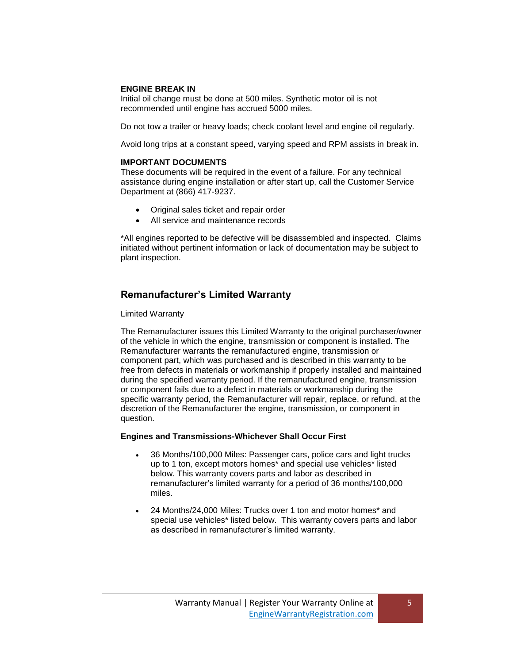#### **ENGINE BREAK IN**

Initial oil change must be done at 500 miles. Synthetic motor oil is not recommended until engine has accrued 5000 miles.

Do not tow a trailer or heavy loads; check coolant level and engine oil regularly.

Avoid long trips at a constant speed, varying speed and RPM assists in break in.

#### **IMPORTANT DOCUMENTS**

These documents will be required in the event of a failure. For any technical assistance during engine installation or after start up, call the Customer Service Department at (866) 417-9237.

- Original sales ticket and repair order
- All service and maintenance records

\*All engines reported to be defective will be disassembled and inspected. Claims initiated without pertinent information or lack of documentation may be subject to plant inspection.

# **Remanufacturer's Limited Warranty**

#### Limited Warranty

The Remanufacturer issues this Limited Warranty to the original purchaser/owner of the vehicle in which the engine, transmission or component is installed. The Remanufacturer warrants the remanufactured engine, transmission or component part, which was purchased and is described in this warranty to be free from defects in materials or workmanship if properly installed and maintained during the specified warranty period. If the remanufactured engine, transmission or component fails due to a defect in materials or workmanship during the specific warranty period, the Remanufacturer will repair, replace, or refund, at the discretion of the Remanufacturer the engine, transmission, or component in question.

#### **Engines and Transmissions-Whichever Shall Occur First**

- 36 Months/100,000 Miles: Passenger cars, police cars and light trucks up to 1 ton, except motors homes\* and special use vehicles\* listed below. This warranty covers parts and labor as described in remanufacturer's limited warranty for a period of 36 months/100,000 miles.
- 24 Months/24,000 Miles: Trucks over 1 ton and motor homes\* and special use vehicles\* listed below. This warranty covers parts and labor as described in remanufacturer's limited warranty.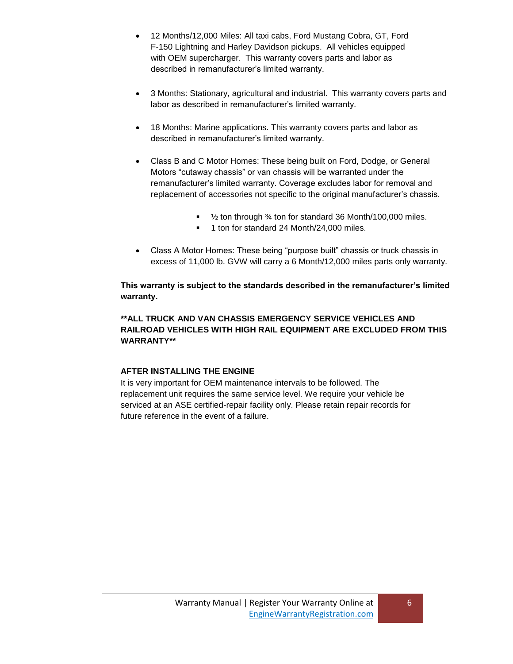- 12 Months/12,000 Miles: All taxi cabs, Ford Mustang Cobra, GT, Ford F-150 Lightning and Harley Davidson pickups. All vehicles equipped with OEM supercharger. This warranty covers parts and labor as described in remanufacturer's limited warranty.
- 3 Months: Stationary, agricultural and industrial. This warranty covers parts and labor as described in remanufacturer's limited warranty.
- 18 Months: Marine applications. This warranty covers parts and labor as described in remanufacturer's limited warranty.
- Class B and C Motor Homes: These being built on Ford, Dodge, or General Motors "cutaway chassis" or van chassis will be warranted under the remanufacturer's limited warranty. Coverage excludes labor for removal and replacement of accessories not specific to the original manufacturer's chassis.
	- 1/<sub>2</sub> ton through 3⁄<sub>4</sub> ton for standard 36 Month/100,000 miles.
	- <sup>1</sup> 1 ton for standard 24 Month/24,000 miles.
- Class A Motor Homes: These being "purpose built" chassis or truck chassis in excess of 11,000 lb. GVW will carry a 6 Month/12,000 miles parts only warranty.

**This warranty is subject to the standards described in the remanufacturer's limited warranty.**

# **\*\*ALL TRUCK AND VAN CHASSIS EMERGENCY SERVICE VEHICLES AND RAILROAD VEHICLES WITH HIGH RAIL EQUIPMENT ARE EXCLUDED FROM THIS WARRANTY\*\***

# **AFTER INSTALLING THE ENGINE**

It is very important for OEM maintenance intervals to be followed. The replacement unit requires the same service level. We require your vehicle be serviced at an ASE certified-repair facility only. Please retain repair records for future reference in the event of a failure.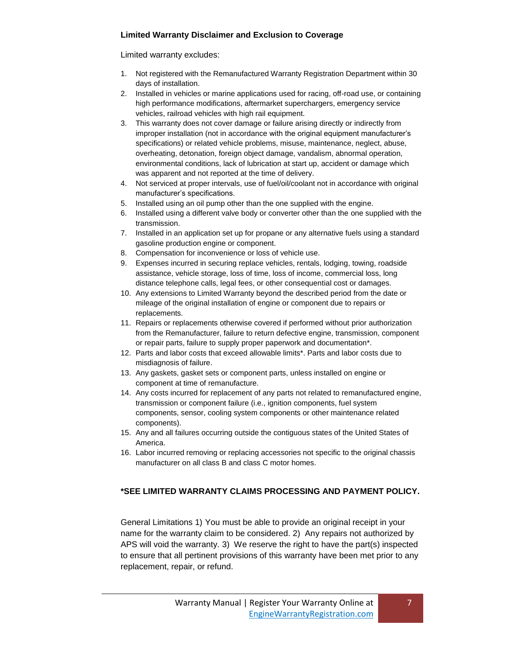# **Limited Warranty Disclaimer and Exclusion to Coverage**

Limited warranty excludes:

- 1. Not registered with the Remanufactured Warranty Registration Department within 30 days of installation.
- 2. Installed in vehicles or marine applications used for racing, off-road use, or containing high performance modifications, aftermarket superchargers, emergency service vehicles, railroad vehicles with high rail equipment.
- 3. This warranty does not cover damage or failure arising directly or indirectly from improper installation (not in accordance with the original equipment manufacturer's specifications) or related vehicle problems, misuse, maintenance, neglect, abuse, overheating, detonation, foreign object damage, vandalism, abnormal operation, environmental conditions, lack of lubrication at start up, accident or damage which was apparent and not reported at the time of delivery.
- 4. Not serviced at proper intervals, use of fuel/oil/coolant not in accordance with original manufacturer's specifications.
- 5. Installed using an oil pump other than the one supplied with the engine.
- 6. Installed using a different valve body or converter other than the one supplied with the transmission.
- 7. Installed in an application set up for propane or any alternative fuels using a standard gasoline production engine or component.
- 8. Compensation for inconvenience or loss of vehicle use.
- 9. Expenses incurred in securing replace vehicles, rentals, lodging, towing, roadside assistance, vehicle storage, loss of time, loss of income, commercial loss, long distance telephone calls, legal fees, or other consequential cost or damages.
- 10. Any extensions to Limited Warranty beyond the described period from the date or mileage of the original installation of engine or component due to repairs or replacements.
- 11. Repairs or replacements otherwise covered if performed without prior authorization from the Remanufacturer, failure to return defective engine, transmission, component or repair parts, failure to supply proper paperwork and documentation\*.
- 12. Parts and labor costs that exceed allowable limits\*. Parts and labor costs due to misdiagnosis of failure.
- 13. Any gaskets, gasket sets or component parts, unless installed on engine or component at time of remanufacture.
- 14. Any costs incurred for replacement of any parts not related to remanufactured engine, transmission or component failure (i.e., ignition components, fuel system components, sensor, cooling system components or other maintenance related components).
- 15. Any and all failures occurring outside the contiguous states of the United States of America.
- 16. Labor incurred removing or replacing accessories not specific to the original chassis manufacturer on all class B and class C motor homes.

# **\*SEE LIMITED WARRANTY CLAIMS PROCESSING AND PAYMENT POLICY.**

General Limitations 1) You must be able to provide an original receipt in your name for the warranty claim to be considered. 2) Any repairs not authorized by APS will void the warranty. 3) We reserve the right to have the part(s) inspected to ensure that all pertinent provisions of this warranty have been met prior to any replacement, repair, or refund.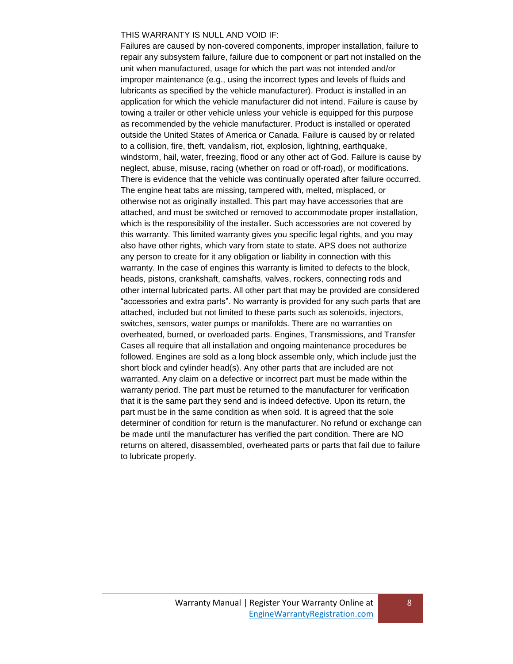#### THIS WARRANTY IS NULL AND VOID IF:

Failures are caused by non-covered components, improper installation, failure to repair any subsystem failure, failure due to component or part not installed on the unit when manufactured, usage for which the part was not intended and/or improper maintenance (e.g., using the incorrect types and levels of fluids and lubricants as specified by the vehicle manufacturer). Product is installed in an application for which the vehicle manufacturer did not intend. Failure is cause by towing a trailer or other vehicle unless your vehicle is equipped for this purpose as recommended by the vehicle manufacturer. Product is installed or operated outside the United States of America or Canada. Failure is caused by or related to a collision, fire, theft, vandalism, riot, explosion, lightning, earthquake, windstorm, hail, water, freezing, flood or any other act of God. Failure is cause by neglect, abuse, misuse, racing (whether on road or off-road), or modifications. There is evidence that the vehicle was continually operated after failure occurred. The engine heat tabs are missing, tampered with, melted, misplaced, or otherwise not as originally installed. This part may have accessories that are attached, and must be switched or removed to accommodate proper installation, which is the responsibility of the installer. Such accessories are not covered by this warranty. This limited warranty gives you specific legal rights, and you may also have other rights, which vary from state to state. APS does not authorize any person to create for it any obligation or liability in connection with this warranty. In the case of engines this warranty is limited to defects to the block, heads, pistons, crankshaft, camshafts, valves, rockers, connecting rods and other internal lubricated parts. All other part that may be provided are considered "accessories and extra parts". No warranty is provided for any such parts that are attached, included but not limited to these parts such as solenoids, injectors, switches, sensors, water pumps or manifolds. There are no warranties on overheated, burned, or overloaded parts. Engines, Transmissions, and Transfer Cases all require that all installation and ongoing maintenance procedures be followed. Engines are sold as a long block assemble only, which include just the short block and cylinder head(s). Any other parts that are included are not warranted. Any claim on a defective or incorrect part must be made within the warranty period. The part must be returned to the manufacturer for verification that it is the same part they send and is indeed defective. Upon its return, the part must be in the same condition as when sold. It is agreed that the sole determiner of condition for return is the manufacturer. No refund or exchange can be made until the manufacturer has verified the part condition. There are NO returns on altered, disassembled, overheated parts or parts that fail due to failure to lubricate properly.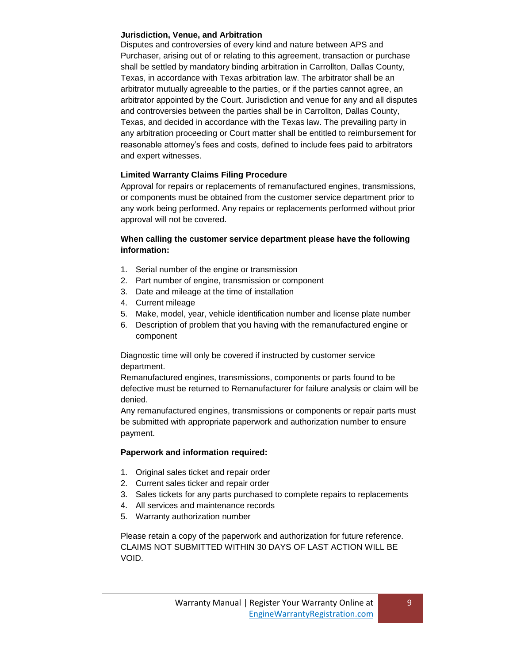# **Jurisdiction, Venue, and Arbitration**

Disputes and controversies of every kind and nature between APS and Purchaser, arising out of or relating to this agreement, transaction or purchase shall be settled by mandatory binding arbitration in Carrollton, Dallas County, Texas, in accordance with Texas arbitration law. The arbitrator shall be an arbitrator mutually agreeable to the parties, or if the parties cannot agree, an arbitrator appointed by the Court. Jurisdiction and venue for any and all disputes and controversies between the parties shall be in Carrollton, Dallas County, Texas, and decided in accordance with the Texas law. The prevailing party in any arbitration proceeding or Court matter shall be entitled to reimbursement for reasonable attorney's fees and costs, defined to include fees paid to arbitrators and expert witnesses.

# **Limited Warranty Claims Filing Procedure**

Approval for repairs or replacements of remanufactured engines, transmissions, or components must be obtained from the customer service department prior to any work being performed. Any repairs or replacements performed without prior approval will not be covered.

# **When calling the customer service department please have the following information:**

- 1. Serial number of the engine or transmission
- 2. Part number of engine, transmission or component
- 3. Date and mileage at the time of installation
- 4. Current mileage
- 5. Make, model, year, vehicle identification number and license plate number
- 6. Description of problem that you having with the remanufactured engine or component

Diagnostic time will only be covered if instructed by customer service department.

Remanufactured engines, transmissions, components or parts found to be defective must be returned to Remanufacturer for failure analysis or claim will be denied.

Any remanufactured engines, transmissions or components or repair parts must be submitted with appropriate paperwork and authorization number to ensure payment.

# **Paperwork and information required:**

- 1. Original sales ticket and repair order
- 2. Current sales ticker and repair order
- 3. Sales tickets for any parts purchased to complete repairs to replacements
- 4. All services and maintenance records
- 5. Warranty authorization number

Please retain a copy of the paperwork and authorization for future reference. CLAIMS NOT SUBMITTED WITHIN 30 DAYS OF LAST ACTION WILL BE VOID.